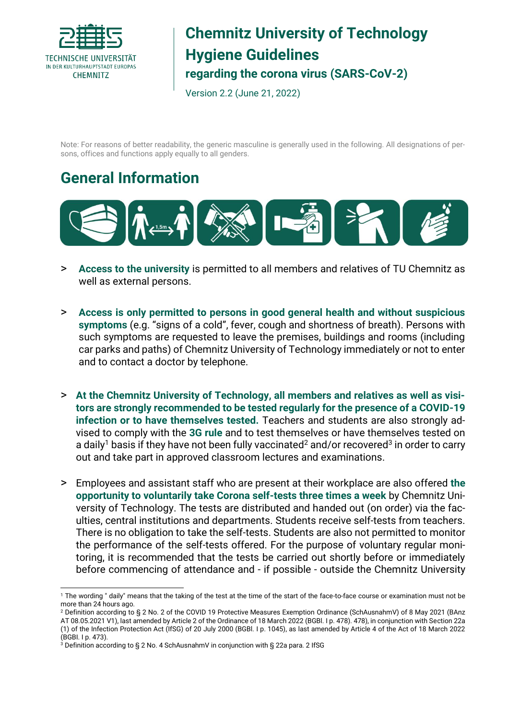

#### **Chemnitz University of Technology Hygiene Guidelines regarding the corona virus (SARS-CoV-2)**

Version 2.2 (June 21, 2022)

Note: For reasons of better readability, the generic masculine is generally used in the following. All designations of persons, offices and functions apply equally to all genders.

#### **General Information**



- > **Access to the university** is permitted to all members and relatives of TU Chemnitz as well as external persons.
- > **Access is only permitted to persons in good general health and without suspicious symptoms** (e.g. "signs of a cold", fever, cough and shortness of breath). Persons with such symptoms are requested to leave the premises, buildings and rooms (including car parks and paths) of Chemnitz University of Technology immediately or not to enter and to contact a doctor by telephone.
- > **At the Chemnitz University of Technology, all members and relatives as well as visitors are strongly recommended to be tested regularly for the presence of a COVID-19 infection or to have themselves tested.** Teachers and students are also strongly advised to comply with the **3G rule** and to test themselves or have themselves tested on a daily<sup>1</sup> basis if they have not been fully vaccinated<sup>2</sup> and/or recovered<sup>3</sup> in order to carry out and take part in approved classroom lectures and examinations.
- > Employees and assistant staff who are present at their workplace are also offered **the opportunity to voluntarily take Corona self-tests three times a week** by Chemnitz University of Technology. The tests are distributed and handed out (on order) via the faculties, central institutions and departments. Students receive self-tests from teachers. There is no obligation to take the self-tests. Students are also not permitted to monitor the performance of the self-tests offered. For the purpose of voluntary regular monitoring, it is recommended that the tests be carried out shortly before or immediately before commencing of attendance and - if possible - outside the Chemnitz University

 $\overline{a}$ <sup>1</sup> The wording " daily" means that the taking of the test at the time of the start of the face-to-face course or examination must not be more than 24 hours ago.

<sup>2</sup> Definition according to § 2 No. 2 of the COVID 19 Protective Measures Exemption Ordinance (SchAusnahmV) of 8 May 2021 (BAnz AT 08.05.2021 V1), last amended by Article 2 of the Ordinance of 18 March 2022 (BGBl. I p. 478). 478), in conjunction with Section 22a (1) of the Infection Protection Act (IfSG) of 20 July 2000 (BGBl. I p. 1045), as last amended by Article 4 of the Act of 18 March 2022 (BGBI. I p. 473).

<sup>3</sup> Definition according to § 2 No. 4 SchAusnahmV in conjunction with § 22a para. 2 IfSG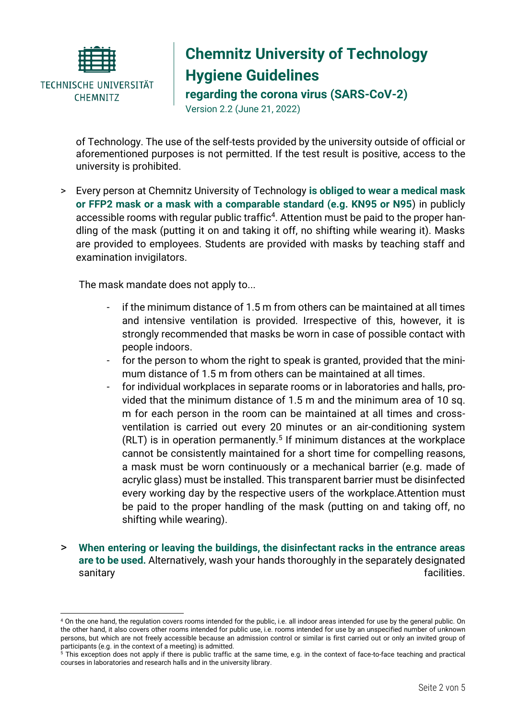

 $\overline{a}$ 

# **Chemnitz University of Technology Hygiene Guidelines**

**regarding the corona virus (SARS-CoV-2)**

Version 2.2 (June 21, 2022)

of Technology. The use of the self-tests provided by the university outside of official or aforementioned purposes is not permitted. If the test result is positive, access to the university is prohibited.

> Every person at Chemnitz University of Technology **is obliged to wear a medical mask or FFP2 mask or a mask with a comparable standard (e.g. KN95 or N95**) in publicly accessible rooms with regular public traffic<sup>4</sup>. Attention must be paid to the proper handling of the mask (putting it on and taking it off, no shifting while wearing it). Masks are provided to employees. Students are provided with masks by teaching staff and examination invigilators.

The mask mandate does not apply to...

- if the minimum distance of 1.5 m from others can be maintained at all times and intensive ventilation is provided. Irrespective of this, however, it is strongly recommended that masks be worn in case of possible contact with people indoors.
- for the person to whom the right to speak is granted, provided that the minimum distance of 1.5 m from others can be maintained at all times.
- for individual workplaces in separate rooms or in laboratories and halls, provided that the minimum distance of 1.5 m and the minimum area of 10 sq. m for each person in the room can be maintained at all times and crossventilation is carried out every 20 minutes or an air-conditioning system  $(RLT)$  is in operation permanently.<sup>5</sup> If minimum distances at the workplace cannot be consistently maintained for a short time for compelling reasons, a mask must be worn continuously or a mechanical barrier (e.g. made of acrylic glass) must be installed. This transparent barrier must be disinfected every working day by the respective users of the workplace.Attention must be paid to the proper handling of the mask (putting on and taking off, no shifting while wearing).
- > **When entering or leaving the buildings, the disinfectant racks in the entrance areas are to be used.** Alternatively, wash your hands thoroughly in the separately designated sanitary facilities.

<sup>4</sup> On the one hand, the regulation covers rooms intended for the public, i.e. all indoor areas intended for use by the general public. On the other hand, it also covers other rooms intended for public use, i.e. rooms intended for use by an unspecified number of unknown persons, but which are not freely accessible because an admission control or similar is first carried out or only an invited group of participants (e.g. in the context of a meeting) is admitted.

<sup>5</sup> This exception does not apply if there is public traffic at the same time, e.g. in the context of face-to-face teaching and practical courses in laboratories and research halls and in the university library.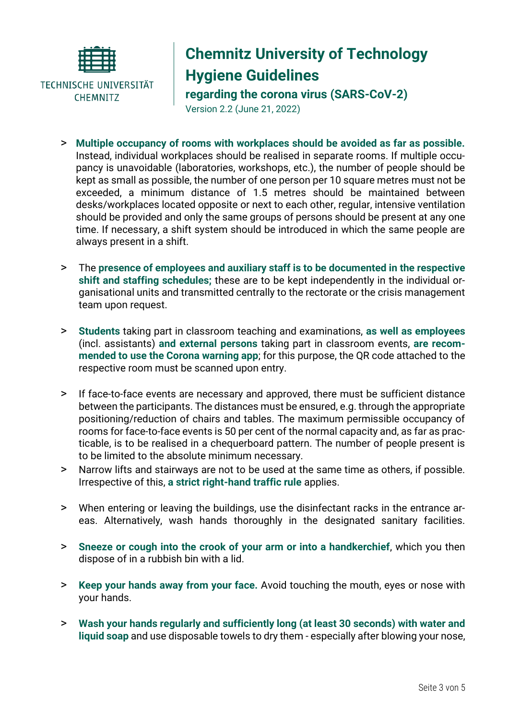

## **Chemnitz University of Technology Hygiene Guidelines**

**regarding the corona virus (SARS-CoV-2)**

Version 2.2 (June 21, 2022)

- > **Multiple occupancy of rooms with workplaces should be avoided as far as possible.**  Instead, individual workplaces should be realised in separate rooms. If multiple occupancy is unavoidable (laboratories, workshops, etc.), the number of people should be kept as small as possible, the number of one person per 10 square metres must not be exceeded, a minimum distance of 1.5 metres should be maintained between desks/workplaces located opposite or next to each other, regular, intensive ventilation should be provided and only the same groups of persons should be present at any one time. If necessary, a shift system should be introduced in which the same people are always present in a shift.
- > The **presence of employees and auxiliary staff is to be documented in the respective shift and staffing schedules;** these are to be kept independently in the individual organisational units and transmitted centrally to the rectorate or the crisis management team upon request.
- > **Students** taking part in classroom teaching and examinations, **as well as employees** (incl. assistants) **and external persons** taking part in classroom events, **are recommended to use the Corona warning app**; for this purpose, the QR code attached to the respective room must be scanned upon entry.
- > If face-to-face events are necessary and approved, there must be sufficient distance between the participants. The distances must be ensured, e.g. through the appropriate positioning/reduction of chairs and tables. The maximum permissible occupancy of rooms for face-to-face events is 50 per cent of the normal capacity and, as far as practicable, is to be realised in a chequerboard pattern. The number of people present is to be limited to the absolute minimum necessary.
- > Narrow lifts and stairways are not to be used at the same time as others, if possible. Irrespective of this, **a strict right-hand traffic rule** applies.
- > When entering or leaving the buildings, use the disinfectant racks in the entrance areas. Alternatively, wash hands thoroughly in the designated sanitary facilities.
- > **Sneeze or cough into the crook of your arm or into a handkerchief**, which you then dispose of in a rubbish bin with a lid.
- > **Keep your hands away from your face.** Avoid touching the mouth, eyes or nose with your hands.
- > **Wash your hands regularly and sufficiently long (at least 30 seconds) with water and liquid soap** and use disposable towels to dry them - especially after blowing your nose,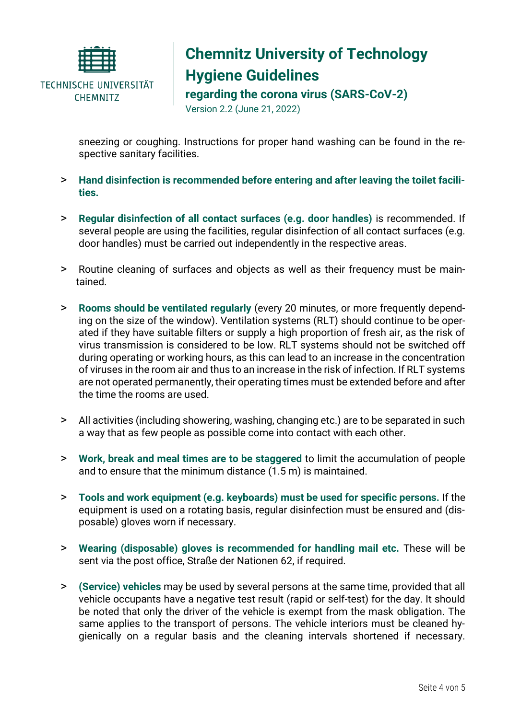

# **Chemnitz University of Technology Hygiene Guidelines**

**regarding the corona virus (SARS-CoV-2)**

Version 2.2 (June 21, 2022)

sneezing or coughing. Instructions for proper hand washing can be found in the respective sanitary facilities.

- > **Hand disinfection is recommended before entering and after leaving the toilet facilities.**
- > **Regular disinfection of all contact surfaces (e.g. door handles)** is recommended. If several people are using the facilities, regular disinfection of all contact surfaces (e.g. door handles) must be carried out independently in the respective areas.
- > Routine cleaning of surfaces and objects as well as their frequency must be maintained.
- > **Rooms should be ventilated regularly** (every 20 minutes, or more frequently depending on the size of the window). Ventilation systems (RLT) should continue to be operated if they have suitable filters or supply a high proportion of fresh air, as the risk of virus transmission is considered to be low. RLT systems should not be switched off during operating or working hours, as this can lead to an increase in the concentration of viruses in the room air and thus to an increase in the risk of infection. If RLT systems are not operated permanently, their operating times must be extended before and after the time the rooms are used.
- > All activities (including showering, washing, changing etc.) are to be separated in such a way that as few people as possible come into contact with each other.
- > **Work, break and meal times are to be staggered** to limit the accumulation of people and to ensure that the minimum distance (1.5 m) is maintained.
- > **Tools and work equipment (e.g. keyboards) must be used for specific persons.** If the equipment is used on a rotating basis, regular disinfection must be ensured and (disposable) gloves worn if necessary.
- > **Wearing (disposable) gloves is recommended for handling mail etc.** These will be sent via the post office, Straße der Nationen 62, if required.
- > **(Service) vehicles** may be used by several persons at the same time, provided that all vehicle occupants have a negative test result (rapid or self-test) for the day. It should be noted that only the driver of the vehicle is exempt from the mask obligation. The same applies to the transport of persons. The vehicle interiors must be cleaned hygienically on a regular basis and the cleaning intervals shortened if necessary.